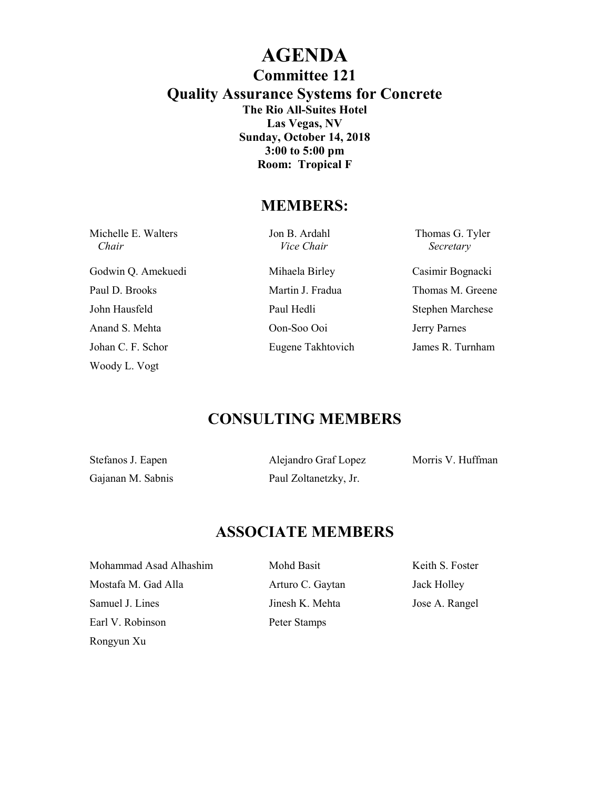### **AGENDA Committee 121 Quality Assurance Systems for Concrete The Rio All-Suites Hotel Las Vegas, NV Sunday, October 14, 2018 3:00 to 5:00 pm Room: Tropical F**

#### **MEMBERS:**

| Michelle E. Walters<br>Chair | Jon B. Ardahl<br><i>Vice Chair</i> | Thomas G. Tyler<br>Secretary |
|------------------------------|------------------------------------|------------------------------|
| Godwin Q. Amekuedi           | Mihaela Birley                     | Casimir Bognacki             |
| Paul D. Brooks               | Martin J. Fradua                   | Thomas M. Greene             |
| John Hausfeld                | Paul Hedli                         | <b>Stephen Marchese</b>      |
| Anand S. Mehta               | Oon-Soo Ooi                        | Jerry Parnes                 |
| Johan C. F. Schor            | Eugene Takhtovich                  | James R. Turnham             |
| Woody L. Vogt                |                                    |                              |

# **CONSULTING MEMBERS**

| Stefanos J. Eapen |  |  |
|-------------------|--|--|
| Gajanan M. Sabnis |  |  |

Paul Zoltanetzky, Jr.

Alejandro Graf Lopez Morris V. Huffman

# **ASSOCIATE MEMBERS**

Mohammad Asad Alhashim Mohd Basit Keith S. Foster Mostafa M. Gad Alla **Arturo C. Gaytan** Jack Holley Samuel J. Lines Jose A. Rangel Earl V. Robinson Peter Stamps Rongyun Xu